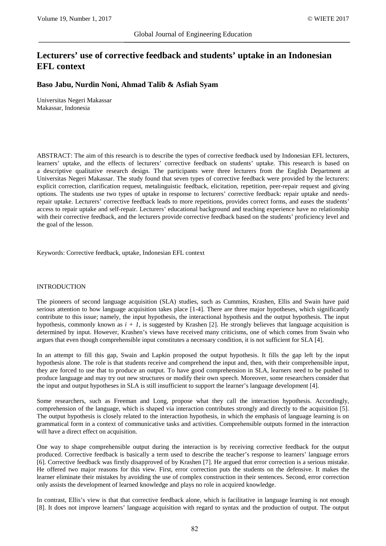# **Lecturers' use of corrective feedback and students' uptake in an Indonesian EFL context**

# **Baso Jabu, Nurdin Noni, Ahmad Talib & Asfiah Syam**

Universitas Negeri Makassar Makassar, Indonesia

ABSTRACT: The aim of this research is to describe the types of corrective feedback used by Indonesian EFL lecturers, learners' uptake, and the effects of lecturers' corrective feedback on students' uptake. This research is based on a descriptive qualitative research design. The participants were three lecturers from the English Department at Universitas Negeri Makassar. The study found that seven types of corrective feedback were provided by the lecturers: explicit correction, clarification request, metalinguistic feedback, elicitation, repetition, peer-repair request and giving options. The students use two types of uptake in response to lecturers' corrective feedback: repair uptake and needsrepair uptake. Lecturers' corrective feedback leads to more repetitions, provides correct forms, and eases the students' access to repair uptake and self-repair. Lecturers' educational background and teaching experience have no relationship with their corrective feedback, and the lecturers provide corrective feedback based on the students' proficiency level and the goal of the lesson.

Keywords: Corrective feedback, uptake, Indonesian EFL context

#### INTRODUCTION

The pioneers of second language acquisition (SLA) studies, such as Cummins, Krashen, Ellis and Swain have paid serious attention to how language acquisition takes place [1-4]. There are three major hypotheses, which significantly contribute to this issue; namely, the input hypothesis, the interactional hypothesis and the output hypothesis. The input hypothesis, commonly known as  $i + 1$ , is suggested by Krashen [2]. He strongly believes that language acquisition is determined by input. However, Krashen's views have received many criticisms, one of which comes from Swain who argues that even though comprehensible input constitutes a necessary condition, it is not sufficient for SLA [4].

In an attempt to fill this gap, Swain and Lapkin proposed the output hypothesis. It fills the gap left by the input hypothesis alone. The role is that students receive and comprehend the input and, then, with their comprehensible input, they are forced to use that to produce an output. To have good comprehension in SLA, learners need to be pushed to produce language and may try out new structures or modify their own speech. Moreover, some researchers consider that the input and output hypotheses in SLA is still insufficient to support the learner's language development [4].

Some researchers, such as Freeman and Long, propose what they call the interaction hypothesis. Accordingly, comprehension of the language, which is shaped via interaction contributes strongly and directly to the acquisition [5]. The output hypothesis is closely related to the interaction hypothesis, in which the emphasis of language learning is on grammatical form in a context of communicative tasks and activities. Comprehensible outputs formed in the interaction will have a direct effect on acquisition.

One way to shape comprehensible output during the interaction is by receiving corrective feedback for the output produced. Corrective feedback is basically a term used to describe the teacher's response to learners' language errors [6]. Corrective feedback was firstly disapproved of by Krashen [7]. He argued that error correction is a serious mistake. He offered two major reasons for this view. First, error correction puts the students on the defensive. It makes the learner eliminate their mistakes by avoiding the use of complex construction in their sentences. Second, error correction only assists the development of learned knowledge and plays no role in acquired knowledge.

In contrast, Ellis's view is that that corrective feedback alone, which is facilitative in language learning is not enough [8]. It does not improve learners' language acquisition with regard to syntax and the production of output. The output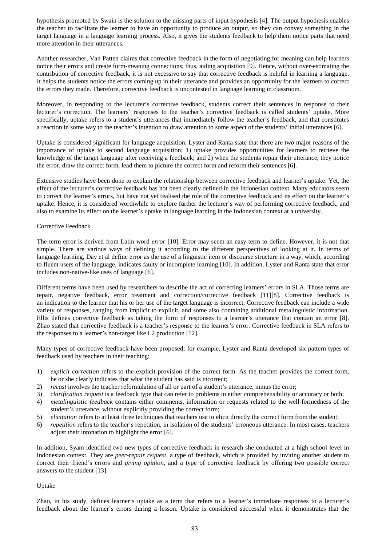hypothesis promoted by Swain is the solution to the missing parts of input hypothesis [4]. The output hypothesis enables the teacher to facilitate the learner to have an opportunity to produce an output, so they can convey something in the target language in a language learning process. Also, it gives the students feedback to help them notice parts that need more attention in their utterances.

Another researcher, Van Patten claims that corrective feedback in the form of negotiating for meaning can help learners notice their errors and create form-meaning connections; thus, aiding acquisition [9]. Hence, without over-estimating the contribution of corrective feedback, it is not excessive to say that corrective feedback is helpful in learning a language. It helps the students notice the errors coming up in their utterance and provides an opportunity for the learners to correct the errors they made. Therefore, corrective feedback is uncontested in language learning in classroom.

Moreover, in responding to the lecturer's corrective feedback, students correct their sentences in response to their lecturer's correction. The learners' responses to the teacher's corrective feedback is called students' uptake. More specifically, uptake refers to a student's utterances that immediately follow the teacher's feedback, and that constitutes a reaction in some way to the teacher's intention to draw attention to some aspect of the students' initial utterances [6].

Uptake is considered significant for language acquisition. Lyster and Ranta state that there are two major reasons of the importance of uptake to second language acquisition: 1) uptake provides opportunities for learners to retrieve the knowledge of the target language after receiving a feedback; and 2) when the students repair their utterance, they notice the error, draw the correct form, lead them to picture the correct form and reform their sentences [6].

Extensive studies have been done to explain the relationship between corrective feedback and learner's uptake. Yet, the effect of the lecturer's corrective feedback has not been clearly defined in the Indonesian context. Many educators seem to correct the learner's errors, but have not yet realised the role of the corrective feedback and its effect on the learner's uptake. Hence, it is considered worthwhile to explore further the lecturer's way of performing corrective feedback, and also to examine its effect on the learner's uptake in language learning in the Indonesian context at a university.

# Corrective Feedback

The term error is derived from Latin word *error* [10]. Error may seem an easy term to define. However, it is not that simple. There are various ways of defining it according to the different perspectives of looking at it. In terms of language learning, Day et al define error as the use of a linguistic item or discourse structure in a way, which, according to fluent users of the language, indicates faulty or incomplete learning [10]. In addition, Lyster and Ranta state that error includes non-native-like uses of language [6].

Different terms have been used by researchers to describe the act of correcting learners' errors in SLA. Those terms are repair, negative feedback, error treatment and correction/corrective feedback [11][8]. Corrective feedback is an indication to the learner that his or her use of the target language is incorrect. Corrective feedback can include a wide variety of responses, ranging from implicit to explicit, and some also containing additional metalinguistic information. Ellis defines corrective feedback as taking the form of responses to a learner's utterance that contain an error [8]. Zhao stated that corrective feedback is a teacher's response to the learner's error. Corrective feedback in SLA refers to the responses to a learner's non-target like L2 production [12].

Many types of corrective feedback have been proposed; for example, Lyster and Ranta developed six pattern types of feedback used by teachers in their teaching:

- 1) *explicit correction* refers to the explicit provision of the correct form. As the teacher provides the correct form, he or she clearly indicates that what the student has said is incorrect;
- 2) *recast* involves the teacher reformulation of all or part of a student's utterance, minus the error;
- 3) *clarification request* is a feedback type that can refer to problems in either comprehensibility or accuracy or both;
- 4) *metalinguistic feedback* contains either comments, information or requests related to the well-formedness of the student's utterance, without explicitly providing the correct form;
- 5) *elicitation* refers to at least three techniques that teachers use to elicit directly the correct form from the student;
- 6) *repetition* refers to the teacher's repetition, in isolation of the students' erroneous utterance. In most cases, teachers adjust their intonation to highlight the error [6].

In addition, Syam identified two new types of corrective feedback in research she conducted at a high school level in Indonesian context. They are *peer-repair request*, a type of feedback, which is provided by inviting another student to correct their friend's errors and *giving opinion*, and a type of corrective feedback by offering two possible correct answers to the student [13].

# Uptake

Zhao, in his study, defines learner's uptake as a term that refers to a learner's immediate responses to a lecturer's feedback about the learner's errors during a lesson. Uptake is considered successful when it demonstrates that the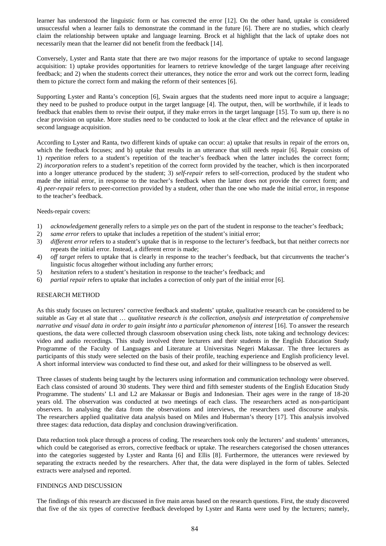learner has understood the linguistic form or has corrected the error [12]. On the other hand, uptake is considered unsuccessful when a learner fails to demonstrate the command in the future [6]. There are no studies, which clearly claim the relationship between uptake and language learning. Brock et al highlight that the lack of uptake does not necessarily mean that the learner did not benefit from the feedback [14].

Conversely, Lyster and Ranta state that there are two major reasons for the importance of uptake to second language acquisition: 1) uptake provides opportunities for learners to retrieve knowledge of the target language after receiving feedback; and 2) when the students correct their utterances, they notice the error and work out the correct form, leading them to picture the correct form and making the reform of their sentences [6].

Supporting Lyster and Ranta's conception [6], Swain argues that the students need more input to acquire a language; they need to be pushed to produce output in the target language [4]. The output, then, will be worthwhile, if it leads to feedback that enables them to revise their output, if they make errors in the target language [15]. To sum up, there is no clear provision on uptake. More studies need to be conducted to look at the clear effect and the relevance of uptake in second language acquisition.

According to Lyster and Ranta, two different kinds of uptake can occur: a) uptake that results in repair of the errors on, which the feedback focuses; and b) uptake that results in an utterance that still needs repair [6]. Repair consists of 1) *repetition* refers to a student's repetition of the teacher's feedback when the latter includes the correct form; 2) *incorporation* refers to a student's repetition of the correct form provided by the teacher, which is then incorporated into a longer utterance produced by the student; 3) *self-repair* refers to self-correction, produced by the student who made the initial error, in response to the teacher's feedback when the latter does not provide the correct form; and 4) *peer-repair* refers to peer-correction provided by a student, other than the one who made the initial error, in response to the teacher's feedback.

#### Needs-repair covers:

- 1) *acknowledgement* generally refers to a simple *yes* on the part of the student in response to the teacher's feedback;
- 2) *same error* refers to uptake that includes a repetition of the student's initial error;
- 3) *different error* refers to a student's uptake that is in response to the lecturer's feedback, but that neither corrects nor repeats the initial error. Instead, a different error is made;
- 4) *off target* refers to uptake that is clearly in response to the teacher's feedback, but that circumvents the teacher's linguistic focus altogether without including any further errors;
- 5) *hesitation* refers to a student's hesitation in response to the teacher's feedback; and
- 6) *partial repair* refers to uptake that includes a correction of only part of the initial error [6].

#### RESEARCH METHOD

As this study focuses on lecturers' corrective feedback and students' uptake, qualitative research can be considered to be suitable as Gay et al state that … *qualitative research is the collection, analysis and interpretation of comprehensive narrative and visual data in order to gain insight into a particular phenomenon of interest* [16]. To answer the research questions, the data were collected through classroom observation using check lists, note taking and technology devices: video and audio recordings. This study involved three lecturers and their students in the English Education Study Programme of the Faculty of Languages and Literature at Universitas Negeri Makassar. The three lecturers as participants of this study were selected on the basis of their profile, teaching experience and English proficiency level. A short informal interview was conducted to find these out, and asked for their willingness to be observed as well.

Three classes of students being taught by the lecturers using information and communication technology were observed. Each class consisted of around 30 students. They were third and fifth semester students of the English Education Study Programme. The students' L1 and L2 are Makassar or Bugis and Indonesian. Their ages were in the range of 18-20 years old. The observation was conducted at two meetings of each class. The researchers acted as non-participant observers. In analysing the data from the observations and interviews, the researchers used discourse analysis. The researchers applied qualitative data analysis based on Miles and Huberman's theory [17]. This analysis involved three stages: data reduction, data display and conclusion drawing/verification.

Data reduction took place through a process of coding. The researchers took only the lecturers' and students' utterances, which could be categorised as errors, corrective feedback or uptake. The researchers categorised the chosen utterances into the categories suggested by Lyster and Ranta [6] and Ellis [8]. Furthermore, the utterances were reviewed by separating the extracts needed by the researchers. After that, the data were displayed in the form of tables. Selected extracts were analysed and reported.

#### FINDINGS AND DISCUSSION

The findings of this research are discussed in five main areas based on the research questions. First, the study discovered that five of the six types of corrective feedback developed by Lyster and Ranta were used by the lecturers; namely,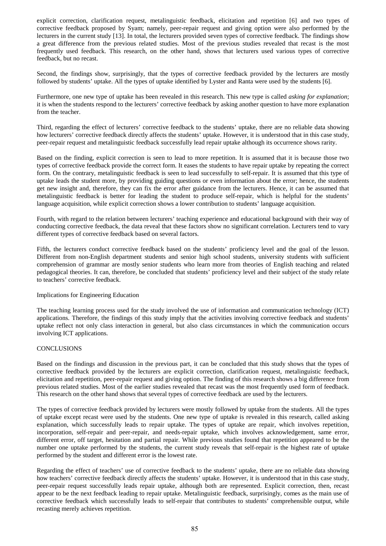explicit correction, clarification request, metalinguistic feedback, elicitation and repetition [6] and two types of corrective feedback proposed by Syam; namely, peer-repair request and giving option were also performed by the lecturers in the current study [13]. In total, the lecturers provided seven types of corrective feedback. The findings show a great difference from the previous related studies. Most of the previous studies revealed that recast is the most frequently used feedback. This research, on the other hand, shows that lecturers used various types of corrective feedback, but no recast.

Second, the findings show, surprisingly, that the types of corrective feedback provided by the lecturers are mostly followed by students' uptake. All the types of uptake identified by Lyster and Ranta were used by the students [6].

Furthermore, one new type of uptake has been revealed in this research. This new type is called *asking for explanation*; it is when the students respond to the lecturers' corrective feedback by asking another question to have more explanation from the teacher.

Third, regarding the effect of lecturers' corrective feedback to the students' uptake, there are no reliable data showing how lecturers' corrective feedback directly affects the students' uptake. However, it is understood that in this case study, peer-repair request and metalinguistic feedback successfully lead repair uptake although its occurrence shows rarity.

Based on the finding, explicit correction is seen to lead to more repetition. It is assumed that it is because those two types of corrective feedback provide the correct form. It eases the students to have repair uptake by repeating the correct form. On the contrary, metalinguistic feedback is seen to lead successfully to self-repair. It is assumed that this type of uptake leads the student more, by providing guiding questions or even information about the error; hence, the students get new insight and, therefore, they can fix the error after guidance from the lecturers. Hence, it can be assumed that metalinguistic feedback is better for leading the student to produce self-repair, which is helpful for the students' language acquisition, while explicit correction shows a lower contribution to students' language acquisition.

Fourth, with regard to the relation between lecturers' teaching experience and educational background with their way of conducting corrective feedback, the data reveal that these factors show no significant correlation. Lecturers tend to vary different types of corrective feedback based on several factors.

Fifth, the lecturers conduct corrective feedback based on the students' proficiency level and the goal of the lesson. Different from non-English department students and senior high school students, university students with sufficient comprehension of grammar are mostly senior students who learn more from theories of English teaching and related pedagogical theories. It can, therefore, be concluded that students' proficiency level and their subject of the study relate to teachers' corrective feedback.

# Implications for Engineering Education

The teaching learning process used for the study involved the use of information and communication technology (ICT) applications. Therefore, the findings of this study imply that the activities involving corrective feedback and students' uptake reflect not only class interaction in general, but also class circumstances in which the communication occurs involving ICT applications.

#### **CONCLUSIONS**

Based on the findings and discussion in the previous part, it can be concluded that this study shows that the types of corrective feedback provided by the lecturers are explicit correction, clarification request, metalinguistic feedback, elicitation and repetition, peer-repair request and giving option. The finding of this research shows a big difference from previous related studies. Most of the earlier studies revealed that recast was the most frequently used form of feedback. This research on the other hand shows that several types of corrective feedback are used by the lecturers.

The types of corrective feedback provided by lecturers were mostly followed by uptake from the students. All the types of uptake except recast were used by the students. One new type of uptake is revealed in this research, called asking explanation, which successfully leads to repair uptake. The types of uptake are repair, which involves repetition, incorporation, self-repair and peer-repair, and needs-repair uptake, which involves acknowledgement, same error, different error, off target, hesitation and partial repair. While previous studies found that repetition appeared to be the number one uptake performed by the students, the current study reveals that self-repair is the highest rate of uptake performed by the student and different error is the lowest rate.

Regarding the effect of teachers' use of corrective feedback to the students' uptake, there are no reliable data showing how teachers' corrective feedback directly affects the students' uptake. However, it is understood that in this case study, peer-repair request successfully leads repair uptake, although both are represented. Explicit correction, then, recast appear to be the next feedback leading to repair uptake. Metalinguistic feedback, surprisingly, comes as the main use of corrective feedback which successfully leads to self-repair that contributes to students' comprehensible output, while recasting merely achieves repetition.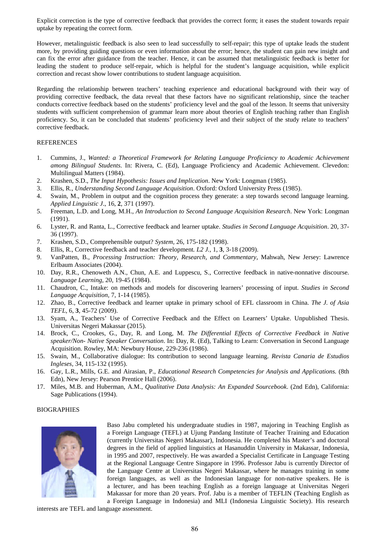Explicit correction is the type of corrective feedback that provides the correct form; it eases the student towards repair uptake by repeating the correct form.

However, metalinguistic feedback is also seen to lead successfully to self-repair; this type of uptake leads the student more, by providing guiding questions or even information about the error; hence, the student can gain new insight and can fix the error after guidance from the teacher. Hence, it can be assumed that metalinguistic feedback is better for leading the student to produce self-repair, which is helpful for the student's language acquisition, while explicit correction and recast show lower contributions to student language acquisition.

Regarding the relationship between teachers' teaching experience and educational background with their way of providing corrective feedback, the data reveal that these factors have no significant relationship, since the teacher conducts corrective feedback based on the students' proficiency level and the goal of the lesson. It seems that university students with sufficient comprehension of grammar learn more about theories of English teaching rather than English proficiency. So, it can be concluded that students' proficiency level and their subject of the study relate to teachers' corrective feedback.

### REFERENCES

- 1. Cummins, J., *Wanted: a Theoretical Framework for Relating Language Proficiency to Academic Achievement among Bilingual Students*. In: Rivera, C. (Ed), Language Proficiency and Academic Achievement. Clevedon: Multilingual Matters (1984).
- 2. Krashen, S.D., *The Input Hypothesis: Issues and Implication*. New York: Longman (1985).
- 3. Ellis, R., *Understanding Second Language Acquisition*. Oxford: Oxford University Press (1985).
- 4. Swain, M., Problem in output and the cognition process they generate: a step towards second language learning. *Applied Linguistic J*., 16, **2**, 371 (1997).
- 5. Freeman, L.D. and Long, M.H., *An Introduction to Second Language Acquisition Research*. New York: Longman (1991).
- 6. Lyster, R. and Ranta, L., Corrective feedback and learner uptake. *Studies in Second Language Acquisition*. 20, 37- 36 (1997).
- 7. Krashen, S.D., Comprehensible output? *System,* 26, 175-182 (1998).
- 8. Ellis, R., Corrective feedback and teacher development*. L2 J.,* 1, **3**, 3-18 (2009).
- 9. VanPatten, B., *Processing Instruction: Theory, Research, and Commentary*, Mahwah, New Jersey: Lawrence Erlbaum Associates (2004).
- 10. Day, R.R., Chenoweth A.N., Chun, A.E. and Luppescu, S., Corrective feedback in native-nonnative discourse. *Language Learning*, 20, 19-45 (1984).
- 11. Chaudron, C., Intake: on methods and models for discovering learners' processing of input. *Studies in Second Language Acquisition*, 7, 1-14 (1985).
- 12. Zhao, B., Corrective feedback and learner uptake in primary school of EFL classroom in China. *The J. of Asia TEFL*, 6, **3**, 45-72 (2009).
- 13. Syam, A., Teachers' Use of Corrective Feedback and the Effect on Learners' Uptake. Unpublished Thesis. Universitas Negeri Makassar (2015).
- 14. Brock, C., Crookes, G., Day, R. and Long, M. *The Differential Effects of Corrective Feedback in Native speaker/Non- Native Speaker Conversation*. In: Day, R. (Ed), Talking to Learn: Conversation in Second Language Acquisition. Rowley, MA: Newbury House, 229-236 (1986).
- 15. Swain, M., Collaborative dialogue: Its contribution to second language learning. *Revista Canaria de Estudios Ingleses,* 34, 115-132 (1995).
- 16. Gay, L.R., Mills, G.E. and Airasian, P., *Educational Research Competencies for Analysis and Applications.* (8th Edn), New Jersey: Pearson Prentice Hall (2006).
- 17. Miles, M.B. and Huberman, A.M., *Qualitative Data Analysis: An Expanded Sourcebook*. (2nd Edn), California: Sage Publications (1994).

# **BIOGRAPHIES**



Baso Jabu completed his undergraduate studies in 1987, majoring in Teaching English as a Foreign Language (TEFL) at Ujung Pandang Institute of Teacher Training and Education (currently Universitas Negeri Makassar), Indonesia. He completed his Master's and doctoral degrees in the field of applied linguistics at Hasanuddin University in Makassar, Indonesia, in 1995 and 2007, respectively. He was awarded a Specialist Certificate in Language Testing at the Regional Language Centre Singapore in 1996. Professor Jabu is currently Director of the Language Centre at Universitas Negeri Makassar, where he manages training in some foreign languages, as well as the Indonesian language for non-native speakers. He is a lecturer, and has been teaching English as a foreign language at Universitas Negeri Makassar for more than 20 years. Prof. Jabu is a member of TEFLIN (Teaching English as a Foreign Language in Indonesia) and MLI (Indonesia Linguistic Society). His research

interests are TEFL and language assessment.